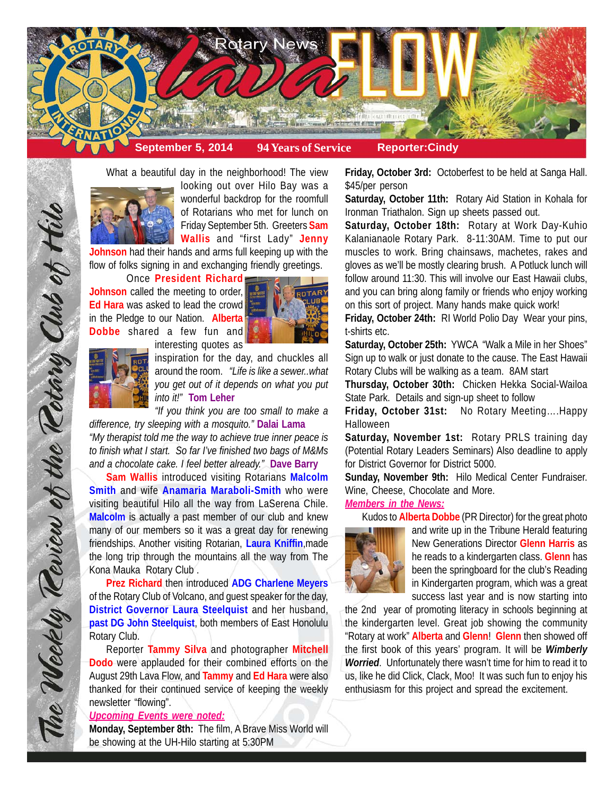

What a beautiful day in the neighborhood! The view



looking out over Hilo Bay was a wonderful backdrop for the roomfull of Rotarians who met for lunch on Friday September 5th. Greeters **Sam Wallis** and "first Lady" **Jenny**

**Johnson** had their hands and arms full keeping up with the flow of folks signing in and exchanging friendly greetings.

Once **President Richard Johnson** called the meeting to order, **Ed Hara** was asked to lead the crowd in the Pledge to our Nation. **Alberta Dobbe** shared a few fun and interesting quotes as





The Weekly Teview of the Tetary Club of Hilo

inspiration for the day, and chuckles all around the room. *"Life is like a sewer..what you get out of it depends on what you put into it!"* **Tom Leher**

*"If you think you are too small to make a difference, try sleeping with a mosquito."* **Dalai Lama**

*"My therapist told me the way to achieve true inner peace is to finish what I start. So far I've finished two bags of M&Ms and a chocolate cake. I feel better already."* **Dave Barry**

**Sam Wallis** introduced visiting Rotarians **Malcolm Smith** and wife **Anamaria Maraboli-Smith** who were visiting beautiful Hilo all the way from LaSerena Chile. **Malcolm** is actually a past member of our club and knew many of our members so it was a great day for renewing friendships. Another visiting Rotarian, **Laura Kniffin**,made the long trip through the mountains all the way from The Kona Mauka Rotary Club .

**Prez Richard** then introduced **ADG Charlene Meyers** of the Rotary Club of Volcano, and guest speaker for the day, **District Governor Laura Steelquist** and her husband, **past DG John Steelquist**, both members of East Honolulu Rotary Club.

Reporter **Tammy Silva** and photographer **Mitchell Dodo** were applauded for their combined efforts on the August 29th Lava Flow, and **Tammy** and **Ed Hara** were also thanked for their continued service of keeping the weekly newsletter "flowing".

*Upcoming Events were noted:*

**Monday, September 8th:** The film, A Brave Miss World will be showing at the UH-Hilo starting at 5:30PM

**Friday, October 3rd:** Octoberfest to be held at Sanga Hall. \$45/per person

**Saturday, October 11th:** Rotary Aid Station in Kohala for Ironman Triathalon. Sign up sheets passed out.

**Saturday, October 18th:** Rotary at Work Day-Kuhio Kalanianaole Rotary Park. 8-11:30AM. Time to put our muscles to work. Bring chainsaws, machetes, rakes and gloves as we'll be mostly clearing brush. A Potluck lunch will follow around 11:30. This will involve our East Hawaii clubs, and you can bring along family or friends who enjoy working on this sort of project. Many hands make quick work!

**Friday, October 24th:** RI World Polio Day Wear your pins, t-shirts etc.

**Saturday, October 25th:** YWCA "Walk a Mile in her Shoes" Sign up to walk or just donate to the cause. The East Hawaii Rotary Clubs will be walking as a team. 8AM start

**Thursday, October 30th:** Chicken Hekka Social-Wailoa State Park. Details and sign-up sheet to follow

**Friday, October 31st:** No Rotary Meeting….Happy Halloween

**Saturday, November 1st:** Rotary PRLS training day (Potential Rotary Leaders Seminars) Also deadline to apply for District Governor for District 5000.

**Sunday, November 9th:** Hilo Medical Center Fundraiser. Wine, Cheese, Chocolate and More.

# *Members in the News:*

Kudos to **Alberta Dobbe** (PR Director) for the great photo



and write up in the Tribune Herald featuring New Generations Director **Glenn Harris** as he reads to a kindergarten class. **Glenn** has been the springboard for the club's Reading in Kindergarten program, which was a great success last year and is now starting into

the 2nd year of promoting literacy in schools beginning at the kindergarten level. Great job showing the community "Rotary at work" **Alberta** and **Glenn**! **Glenn** then showed off the first book of this years' program. It will be *Wimberly Worried*. Unfortunately there wasn't time for him to read it to us, like he did Click, Clack, Moo! It was such fun to enjoy his enthusiasm for this project and spread the excitement.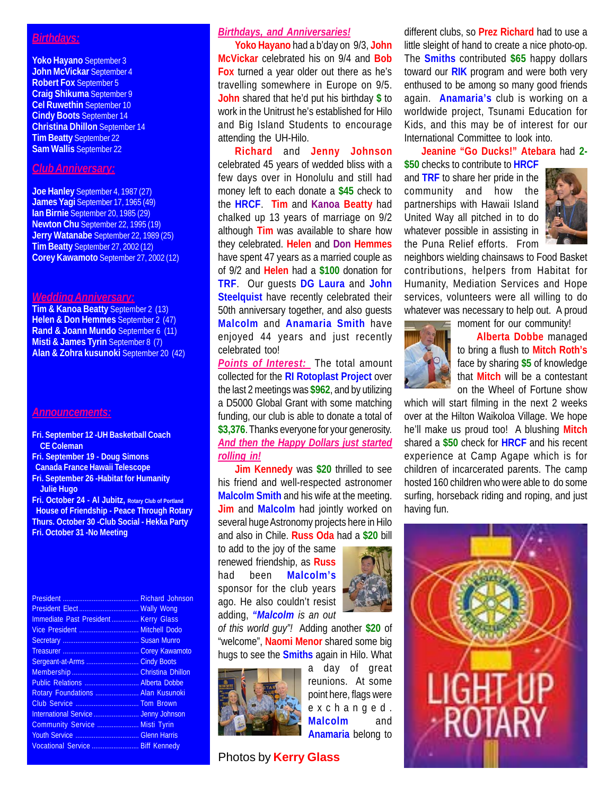## *Birthdays:*

**Yoko Hayano** September 3 **John McVickar** September 4 **Robert Fox** September 5 **Craig Shikuma** September 9 **Cel Ruwethin** September 10 **Cindy Boots** September 14 **Christina Dhillon** September 14 **Tim Beatty** September 22 **Sam Wallis** September 22

### *Club Anniversary:*

**Joe Hanley** September 4, 1987 (27) **James Yagi** September 17, 1965 (49) **Ian Birnie** September 20, 1985 (29) **Newton Chu** September 22, 1995 (19) **Jerry Watanabe** September 22, 1989 (25) **Tim Beatty** September 27, 2002 (12) **Corey Kawamoto** September 27, 2002 (12)

### *Wedding Anniversary:*

**Tim & Kanoa Beatty** September 2 (13) **Helen & Don Hemmes** September 2 (47) **Rand & Joann Mundo** September 6 (11) **Misti & James Tyrin September 8 (7) Alan & Zohra kusunoki** September 20 (42)

#### *Announcements:*

- **Fri. September 12 -UH Basketball Coach CE Coleman**
- **Fri. September 19 Doug Simons**
- **Canada France Hawaii Telescope**
- **Fri. September 26 -Habitat for Humanity Julie Hugo**

**Fri. October 24 - Al Jubitz, Rotary Club of Portland House of Friendship - Peace Through Rotary Thurs. October 30 -Club Social - Hekka Party Fri. October 31 -No Meeting**

|                                      | <b>Richard Johnson</b> |
|--------------------------------------|------------------------|
|                                      |                        |
| Immediate Past President Kerry Glass |                        |
|                                      |                        |
|                                      |                        |
|                                      |                        |
|                                      | <b>Cindy Boots</b>     |
|                                      |                        |
| Public Relations  Alberta Dobbe      |                        |
| Rotary Foundations  Alan Kusunoki    |                        |
| Club Service  Tom Brown              |                        |
| International Service  Jenny Johnson |                        |
| Community Service  Misti Tyrin       |                        |
|                                      |                        |
| Vocational Service  Biff Kennedy     |                        |

### *Birthdays, and Anniversaries!*

**Yoko Hayano** had a b'day on 9/3, **John McVickar** celebrated his on 9/4 and **Bob Fox** turned a year older out there as he's travelling somewhere in Europe on 9/5. **John** shared that he'd put his birthday **\$** to work in the Unitrust he's established for Hilo and Big Island Students to encourage attending the UH-Hilo.

**Richard** and **Jenny Johnson** celebrated 45 years of wedded bliss with a few days over in Honolulu and still had money left to each donate a **\$45** check to the **HRCF**. **Tim** and **Kanoa Beatty** had chalked up 13 years of marriage on 9/2 although **Tim** was available to share how they celebrated. **Helen** and **Don Hemmes** have spent 47 years as a married couple as of 9/2 and **Helen** had a **\$100** donation for **TRF**. Our guests **DG Laura** and **John Steelquist** have recently celebrated their 50th anniversary together, and also guests **Malcolm** and **Anamaria Smith** have enjoyed 44 years and just recently celebrated too!

**Points of Interest:** The total amount collected for the **RI Rotoplast Project** over the last 2 meetings was **\$962**, and by utilizing a D5000 Global Grant with some matching funding, our club is able to donate a total of **\$3,376**. Thanks everyone for your generosity. *And then the Happy Dollars just started rolling in!*

**Jim Kennedy** was **\$20** thrilled to see his friend and well-respected astronomer **Malcolm Smith** and his wife at the meeting. **Jim** and **Malcolm** had jointly worked on several huge Astronomy projects here in Hilo and also in Chile. **Russ Oda** had a **\$20** bill

to add to the joy of the same renewed friendship, as **Russ** had been **Malcolm's** sponsor for the club years ago. He also couldn't resist adding, *"Malcolm is an out*

*of this world guy"!* Adding another **\$20** of "welcome", **Naomi Menor** shared some big hugs to see the **Smiths** again in Hilo. What



a day of great reunions. At some point here, flags were exchanged. **Malcolm** and **Anamaria** belong to

Photos by **Kerry Glass**

different clubs, so **Prez Richard** had to use a little sleight of hand to create a nice photo-op. The **Smiths** contributed **\$65** happy dollars toward our **RIK** program and were both very enthused to be among so many good friends again. **Anamaria's** club is working on a worldwide project, Tsunami Education for Kids, and this may be of interest for our International Committee to look into.

**Jeanine "Go Ducks!" Atebara** had **2-**

**\$50** checks to contribute to **HRCF** and **TRF** to share her pride in the community and how the partnerships with Hawaii Island United Way all pitched in to do whatever possible in assisting in the Puna Relief efforts. From



neighbors wielding chainsaws to Food Basket contributions, helpers from Habitat for Humanity, Mediation Services and Hope services, volunteers were all willing to do whatever was necessary to help out. A proud



moment for our community! **Alberta Dobbe** managed to bring a flush to **Mitch Roth's** face by sharing **\$5** of knowledge that **Mitch** will be a contestant on the Wheel of Fortune show

which will start filming in the next 2 weeks over at the Hilton Waikoloa Village. We hope he'll make us proud too! A blushing **Mitch** shared a **\$50** check for **HRCF** and his recent experience at Camp Agape which is for children of incarcerated parents. The camp hosted 160 children who were able to do some surfing, horseback riding and roping, and just having fun.